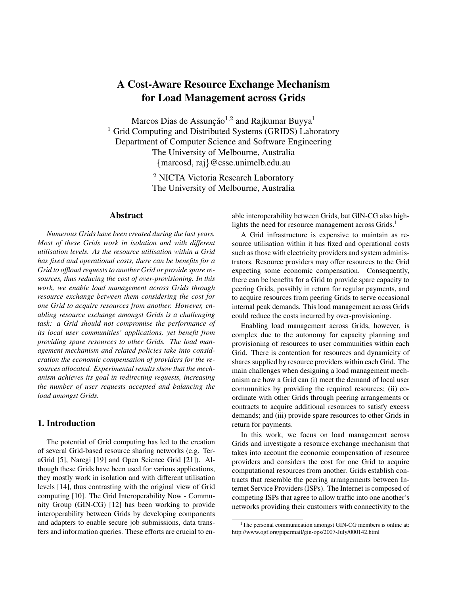# A Cost-Aware Resource Exchange Mechanism for Load Management across Grids

Marcos Dias de Assunção $^{1,2}$  and Rajkumar Buyya $^1$ <sup>1</sup> Grid Computing and Distributed Systems (GRIDS) Laboratory Department of Computer Science and Software Engineering The University of Melbourne, Australia {marcosd, raj}@csse.unimelb.edu.au

> <sup>2</sup> NICTA Victoria Research Laboratory The University of Melbourne, Australia

# Abstract

*Numerous Grids have been created during the last years. Most of these Grids work in isolation and with different utilisation levels. As the resource utilisation within a Grid has fixed and operational costs, there can be benefits for a Grid to offload requests to another Grid or provide spare resources, thus reducing the cost of over-provisioning. In this work, we enable load management across Grids through resource exchange between them considering the cost for one Grid to acquire resources from another. However, enabling resource exchange amongst Grids is a challenging task: a Grid should not compromise the performance of its local user communities' applications, yet benefit from providing spare resources to other Grids. The load management mechanism and related policies take into consideration the economic compensation of providers for the resources allocated. Experimental results show that the mechanism achieves its goal in redirecting requests, increasing the number of user requests accepted and balancing the load amongst Grids.*

## 1. Introduction

The potential of Grid computing has led to the creation of several Grid-based resource sharing networks (e.g. TeraGrid [5], Naregi [19] and Open Science Grid [21]). Although these Grids have been used for various applications, they mostly work in isolation and with different utilisation levels [14], thus contrasting with the original view of Grid computing [10]. The Grid Interoperability Now - Community Group (GIN-CG) [12] has been working to provide interoperability between Grids by developing components and adapters to enable secure job submissions, data transfers and information queries. These efforts are crucial to enable interoperability between Grids, but GIN-CG also highlights the need for resource management across Grids.<sup>1</sup>

A Grid infrastructure is expensive to maintain as resource utilisation within it has fixed and operational costs such as those with electricity providers and system administrators. Resource providers may offer resources to the Grid expecting some economic compensation. Consequently, there can be benefits for a Grid to provide spare capacity to peering Grids, possibly in return for regular payments, and to acquire resources from peering Grids to serve occasional internal peak demands. This load management across Grids could reduce the costs incurred by over-provisioning.

Enabling load management across Grids, however, is complex due to the autonomy for capacity planning and provisioning of resources to user communities within each Grid. There is contention for resources and dynamicity of shares supplied by resource providers within each Grid. The main challenges when designing a load management mechanism are how a Grid can (i) meet the demand of local user communities by providing the required resources; (ii) coordinate with other Grids through peering arrangements or contracts to acquire additional resources to satisfy excess demands; and (iii) provide spare resources to other Grids in return for payments.

In this work, we focus on load management across Grids and investigate a resource exchange mechanism that takes into account the economic compensation of resource providers and considers the cost for one Grid to acquire computational resources from another. Grids establish contracts that resemble the peering arrangements between Internet Service Providers (ISPs). The Internet is composed of competing ISPs that agree to allow traffic into one another's networks providing their customers with connectivity to the

<sup>&</sup>lt;sup>1</sup>The personal communication amongst GIN-CG members is online at: http://www.ogf.org/pipermail/gin-ops/2007-July/000142.html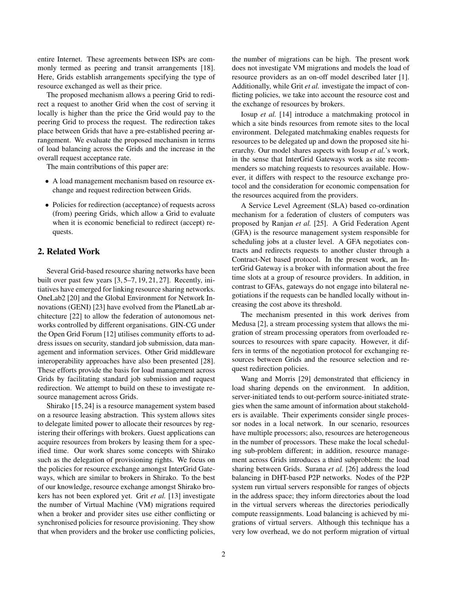entire Internet. These agreements between ISPs are commonly termed as peering and transit arrangements [18]. Here, Grids establish arrangements specifying the type of resource exchanged as well as their price.

The proposed mechanism allows a peering Grid to redirect a request to another Grid when the cost of serving it locally is higher than the price the Grid would pay to the peering Grid to process the request. The redirection takes place between Grids that have a pre-established peering arrangement. We evaluate the proposed mechanism in terms of load balancing across the Grids and the increase in the overall request acceptance rate.

The main contributions of this paper are:

- A load management mechanism based on resource exchange and request redirection between Grids.
- Policies for redirection (acceptance) of requests across (from) peering Grids, which allow a Grid to evaluate when it is economic beneficial to redirect (accept) requests.

## 2. Related Work

Several Grid-based resource sharing networks have been built over past few years [3, 5–7, 19, 21, 27]. Recently, initiatives have emerged for linking resource sharing networks. OneLab2 [20] and the Global Environment for Network Innovations (GENI) [23] have evolved from the PlanetLab architecture [22] to allow the federation of autonomous networks controlled by different organisations. GIN-CG under the Open Grid Forum [12] utilises community efforts to address issues on security, standard job submission, data management and information services. Other Grid middleware interoperability approaches have also been presented [28]. These efforts provide the basis for load management across Grids by facilitating standard job submission and request redirection. We attempt to build on these to investigate resource management across Grids.

Shirako [15, 24] is a resource management system based on a resource leasing abstraction. This system allows sites to delegate limited power to allocate their resources by registering their offerings with brokers. Guest applications can acquire resources from brokers by leasing them for a specified time. Our work shares some concepts with Shirako such as the delegation of provisioning rights. We focus on the policies for resource exchange amongst InterGrid Gateways, which are similar to brokers in Shirako. To the best of our knowledge, resource exchange amongst Shirako brokers has not been explored yet. Grit *et al.* [13] investigate the number of Virtual Machine (VM) migrations required when a broker and provider sites use either conflicting or synchronised policies for resource provisioning. They show that when providers and the broker use conflicting policies, the number of migrations can be high. The present work does not investigate VM migrations and models the load of resource providers as an on-off model described later [1]. Additionally, while Grit *et al.* investigate the impact of conflicting policies, we take into account the resource cost and the exchange of resources by brokers.

Iosup *et al.* [14] introduce a matchmaking protocol in which a site binds resources from remote sites to the local environment. Delegated matchmaking enables requests for resources to be delegated up and down the proposed site hierarchy. Our model shares aspects with Iosup *et al.*'s work, in the sense that InterGrid Gateways work as site recommenders so matching requests to resources available. However, it differs with respect to the resource exchange protocol and the consideration for economic compensation for the resources acquired from the providers.

A Service Level Agreement (SLA) based co-ordination mechanism for a federation of clusters of computers was proposed by Ranjan *et al.* [25]. A Grid Federation Agent (GFA) is the resource management system responsible for scheduling jobs at a cluster level. A GFA negotiates contracts and redirects requests to another cluster through a Contract-Net based protocol. In the present work, an InterGrid Gateway is a broker with information about the free time slots at a group of resource providers. In addition, in contrast to GFAs, gateways do not engage into bilateral negotiations if the requests can be handled locally without increasing the cost above its threshold.

The mechanism presented in this work derives from Medusa [2], a stream processing system that allows the migration of stream processing operators from overloaded resources to resources with spare capacity. However, it differs in terms of the negotiation protocol for exchanging resources between Grids and the resource selection and request redirection policies.

Wang and Morris [29] demonstrated that efficiency in load sharing depends on the environment. In addition, server-initiated tends to out-perform source-initiated strategies when the same amount of information about stakeholders is available. Their experiments consider single processor nodes in a local network. In our scenario, resources have multiple processors; also, resources are heterogeneous in the number of processors. These make the local scheduling sub-problem different; in addition, resource management across Grids introduces a third subproblem: the load sharing between Grids. Surana *et al.* [26] address the load balancing in DHT-based P2P networks. Nodes of the P2P system run virtual servers responsible for ranges of objects in the address space; they inform directories about the load in the virtual servers whereas the directories periodically compute reassignments. Load balancing is achieved by migrations of virtual servers. Although this technique has a very low overhead, we do not perform migration of virtual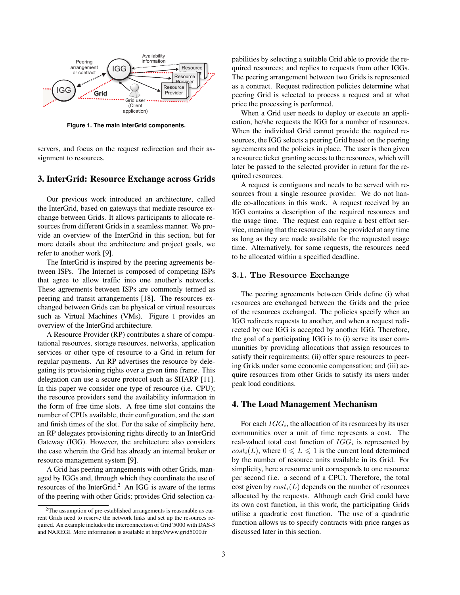

**Figure 1. The main InterGrid components.**

servers, and focus on the request redirection and their assignment to resources.

## 3. InterGrid: Resource Exchange across Grids

Our previous work introduced an architecture, called the InterGrid, based on gateways that mediate resource exchange between Grids. It allows participants to allocate resources from different Grids in a seamless manner. We provide an overview of the InterGrid in this section, but for more details about the architecture and project goals, we refer to another work [9].

The InterGrid is inspired by the peering agreements between ISPs. The Internet is composed of competing ISPs that agree to allow traffic into one another's networks. These agreements between ISPs are commonly termed as peering and transit arrangements [18]. The resources exchanged between Grids can be physical or virtual resources such as Virtual Machines (VMs). Figure 1 provides an overview of the InterGrid architecture.

A Resource Provider (RP) contributes a share of computational resources, storage resources, networks, application services or other type of resource to a Grid in return for regular payments. An RP advertises the resource by delegating its provisioning rights over a given time frame. This delegation can use a secure protocol such as SHARP [11]. In this paper we consider one type of resource (i.e. CPU); the resource providers send the availability information in the form of free time slots. A free time slot contains the number of CPUs available, their configuration, and the start and finish times of the slot. For the sake of simplicity here, an RP delegates provisioning rights directly to an InterGrid Gateway (IGG). However, the architecture also considers the case wherein the Grid has already an internal broker or resource management system [9].

A Grid has peering arrangements with other Grids, managed by IGGs and, through which they coordinate the use of resources of the InterGrid.<sup>2</sup> An IGG is aware of the terms of the peering with other Grids; provides Grid selection capabilities by selecting a suitable Grid able to provide the required resources; and replies to requests from other IGGs. The peering arrangement between two Grids is represented as a contract. Request redirection policies determine what peering Grid is selected to process a request and at what price the processing is performed.

When a Grid user needs to deploy or execute an application, he/she requests the IGG for a number of resources. When the individual Grid cannot provide the required resources, the IGG selects a peering Grid based on the peering agreements and the policies in place. The user is then given a resource ticket granting access to the resources, which will later be passed to the selected provider in return for the required resources.

A request is contiguous and needs to be served with resources from a single resource provider. We do not handle co-allocations in this work. A request received by an IGG contains a description of the required resources and the usage time. The request can require a best effort service, meaning that the resources can be provided at any time as long as they are made available for the requested usage time. Alternatively, for some requests, the resources need to be allocated within a specified deadline.

#### 3.1. The Resource Exchange

The peering agreements between Grids define (i) what resources are exchanged between the Grids and the price of the resources exchanged. The policies specify when an IGG redirects requests to another, and when a request redirected by one IGG is accepted by another IGG. Therefore, the goal of a participating IGG is to (i) serve its user communities by providing allocations that assign resources to satisfy their requirements; (ii) offer spare resources to peering Grids under some economic compensation; and (iii) acquire resources from other Grids to satisfy its users under peak load conditions.

## 4. The Load Management Mechanism

For each  $IGG_i$ , the allocation of its resources by its user communities over a unit of time represents a cost. The real-valued total cost function of  $IGG_i$  is represented by  $cost<sub>i</sub>(L)$ , where  $0 \le L \le 1$  is the current load determined by the number of resource units available in its Grid. For simplicity, here a resource unit corresponds to one resource per second (i.e. a second of a CPU). Therefore, the total cost given by  $cost_i(L)$  depends on the number of resources allocated by the requests. Although each Grid could have its own cost function, in this work, the participating Grids utilise a quadratic cost function. The use of a quadratic function allows us to specify contracts with price ranges as discussed later in this section.

<sup>2</sup>The assumption of pre-established arrangements is reasonable as current Grids need to reserve the network links and set up the resources required. An example includes the interconnection of Grid'5000 with DAS-3 and NAREGI. More information is available at http://www.grid5000.fr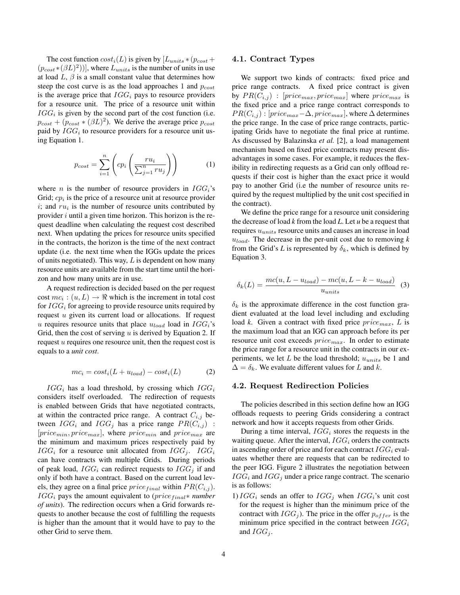The cost function  $cost_i(L)$  is given by  $[L_{units} * (p_{cost} +$  $(p_{cost} * (\beta L)^2))$ , where  $L_{units}$  is the number of units in use at load  $L$ ,  $\beta$  is a small constant value that determines how steep the cost curve is as the load approaches 1 and  $p_{cost}$ is the average price that  $IGG_i$  pays to resource providers for a resource unit. The price of a resource unit within  $IGG_i$  is given by the second part of the cost function (i.e.  $p_{cost} + (p_{cost} * (\beta L)^2)$ . We derive the average price  $p_{cost}$ paid by  $IGG_i$  to resource providers for a resource unit using Equation 1.

$$
p_{cost} = \sum_{i=1}^{n} \left( cp_i \left( \frac{ru_i}{\sum_{j=1}^{n} ru_j} \right) \right)
$$
 (1)

where *n* is the number of resource providers in  $IGG_i$ 's Grid;  $cp<sub>i</sub>$  is the price of a resource unit at resource provider i; and  $ru_i$  is the number of resource units contributed by provider  $i$  until a given time horizon. This horizon is the request deadline when calculating the request cost described next. When updating the prices for resource units specified in the contracts, the horizon is the time of the next contract update (i.e. the next time when the IGGs update the prices of units negotiated). This way,  $L$  is dependent on how many resource units are available from the start time until the horizon and how many units are in use.

A request redirection is decided based on the per request cost  $mc_i$ :  $(u, L) \rightarrow \Re$  which is the increment in total cost for  $IGG_i$  for agreeing to provide resource units required by request  $u$  given its current load or allocations. If request u requires resource units that place  $u_{load}$  load in  $IGG_i$ 's Grid, then the cost of serving  $u$  is derived by Equation 2. If request  $u$  requires one resource unit, then the request cost is equals to a *unit cost*.

$$
mc_i = cost_i(L + u_{load}) - cost_i(L) \tag{2}
$$

 $IGG_i$  has a load threshold, by crossing which  $IGG_i$ considers itself overloaded. The redirection of requests is enabled between Grids that have negotiated contracts, at within the contracted price range. A contract  $C_{i,j}$  between  $IGG_i$  and  $IGG_j$  has a price range  $PR(C_{i,j})$ :  $[price_{min}, price_{max}]$ , where  $price_{min}$  and  $price_{max}$  are the minimum and maximum prices respectively paid by  $IGG_i$  for a resource unit allocated from  $IGG_i$ . IGG<sub>i</sub> can have contracts with multiple Grids. During periods of peak load,  $IGG_i$  can redirect requests to  $IGG_j$  if and only if both have a contract. Based on the current load levels, they agree on a final price  $price_{final}$  within  $PR(C_{i,j})$ .  $IGG_i$  pays the amount equivalent to ( $price_{final}$ <sup>\*</sup> *number of units*). The redirection occurs when a Grid forwards requests to another because the cost of fulfilling the requests is higher than the amount that it would have to pay to the other Grid to serve them.

#### 4.1. Contract Types

We support two kinds of contracts: fixed price and price range contracts. A fixed price contract is given by  $PR(C_{i,j})$  : [price<sub>max</sub>, price<sub>max</sub>] where price<sub>max</sub> is the fixed price and a price range contract corresponds to  $PR(C_{i,j}): [price_{max}-\Delta, price_{max}]$ , where  $\Delta$  determines the price range. In the case of price range contracts, participating Grids have to negotiate the final price at runtime. As discussed by Balazinska *et al.* [2], a load management mechanism based on fixed price contracts may present disadvantages in some cases. For example, it reduces the flexibility in redirecting requests as a Grid can only offload requests if their cost is higher than the exact price it would pay to another Grid (i.e the number of resource units required by the request multiplied by the unit cost specified in the contract).

We define the price range for a resource unit considering the decrease of load *k* from the load *L*. Let *u* be a request that requires  $u_{units}$  resource units and causes an increase in load  $u_{load}$ . The decrease in the per-unit cost due to removing  $k$ from the Grid's *L* is represented by  $\delta_k$ , which is defined by Equation 3.

$$
\delta_k(L) = \frac{mc(u, L - u_{load}) - mc(u, L - k - u_{load})}{u_{units}} \tag{3}
$$

 $\delta_k$  is the approximate difference in the cost function gradient evaluated at the load level including and excluding load *k*. Given a contract with fixed price  $price_{max}$ , L is the maximum load that an IGG can approach before its per resource unit cost exceeds  $price_{max}$ . In order to estimate the price range for a resource unit in the contracts in our experiments, we let L be the load threshold;  $u_{units}$  be 1 and  $\Delta = \delta_k$ . We evaluate different values for L and k.

#### 4.2. Request Redirection Policies

The policies described in this section define how an IGG offloads requests to peering Grids considering a contract network and how it accepts requests from other Grids.

During a time interval,  $IGG_i$  stores the requests in the waiting queue. After the interval,  $IGG_i$  orders the contracts in ascending order of price and for each contract  $IGG_i$  evaluates whether there are requests that can be redirected to the peer IGG. Figure 2 illustrates the negotiation between  $IGG_i$  and  $IGG_j$  under a price range contract. The scenario is as follows:

1)  $IGG_i$  sends an offer to  $IGG_j$  when  $IGG_i$ 's unit cost for the request is higher than the minimum price of the contract with  $IGG_j$ ). The price in the offer  $p_{offer}$  is the minimum price specified in the contract between  $IGG_i$ and  $IGG_j$ .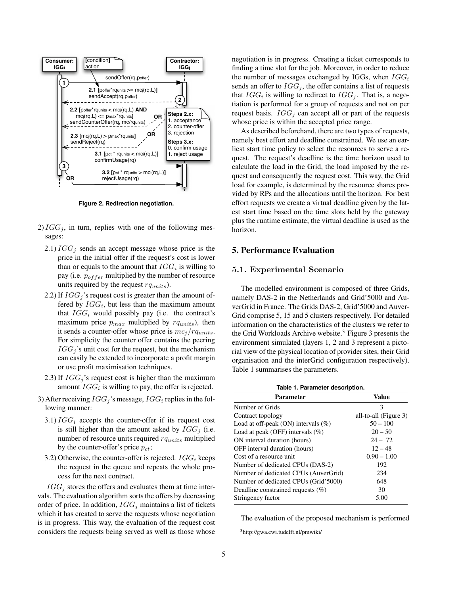

**Figure 2. Redirection negotiation.**

- 2)  $IGG_j$ , in turn, replies with one of the following messages:
	- 2.1)  $IGG<sub>j</sub>$  sends an accept message whose price is the price in the initial offer if the request's cost is lower than or equals to the amount that  $IGG_i$  is willing to pay (i.e.  $p_{offer}$  multiplied by the number of resource units required by the request  $r_{\mathbf{q}_{units}}$ ).
	- 2.2) If  $IGG<sub>i</sub>$ 's request cost is greater than the amount offered by  $IGG_i$ , but less than the maximum amount that  $IGG_i$  would possibly pay (i.e. the contract's maximum price  $p_{max}$  multiplied by  $rq_{units}$ , then it sends a counter-offer whose price is  $mc_j/rq_{units}$ . For simplicity the counter offer contains the peering  $IGG_j$ 's unit cost for the request, but the mechanism can easily be extended to incorporate a profit margin or use profit maximisation techniques.
	- 2.3) If  $IGG<sub>j</sub>$ 's request cost is higher than the maximum amount  $IGG_i$  is willing to pay, the offer is rejected.
- 3) After receiving  $IGG_j$ 's message,  $IGG_i$  replies in the following manner:
	- 3.1)  $IGG_i$  accepts the counter-offer if its request cost is still higher than the amount asked by  $IGG_i$  (i.e. number of resource units required  $rq_{units}$  multiplied by the counter-offer's price  $p_{ct}$ ;
	- 3.2) Otherwise, the counter-offer is rejected.  $IGG_i$  keeps the request in the queue and repeats the whole process for the next contract.

 $IGG<sub>j</sub>$  stores the offers and evaluates them at time intervals. The evaluation algorithm sorts the offers by decreasing order of price. In addition,  $IGG_i$  maintains a list of tickets which it has created to serve the requests whose negotiation is in progress. This way, the evaluation of the request cost considers the requests being served as well as those whose negotiation is in progress. Creating a ticket corresponds to finding a time slot for the job. Moreover, in order to reduce the number of messages exchanged by IGGs, when  $IGG_i$ sends an offer to  $IGG_j$ , the offer contains a list of requests that  $IGG_i$  is willing to redirect to  $IGG_j$ . That is, a negotiation is performed for a group of requests and not on per request basis.  $IGG_i$  can accept all or part of the requests whose price is within the accepted price range.

As described beforehand, there are two types of requests, namely best effort and deadline constrained. We use an earliest start time policy to select the resources to serve a request. The request's deadline is the time horizon used to calculate the load in the Grid, the load imposed by the request and consequently the request cost. This way, the Grid load for example, is determined by the resource shares provided by RPs and the allocations until the horizon. For best effort requests we create a virtual deadline given by the latest start time based on the time slots held by the gateway plus the runtime estimate; the virtual deadline is used as the horizon.

# 5. Performance Evaluation

#### 5.1. Experimental Scenario

The modelled environment is composed of three Grids, namely DAS-2 in the Netherlands and Grid'5000 and AuverGrid in France. The Grids DAS-2, Grid'5000 and Auver-Grid comprise 5, 15 and 5 clusters respectively. For detailed information on the characteristics of the clusters we refer to the Grid Workloads Archive website. $3$  Figure 3 presents the environment simulated (layers 1, 2 and 3 represent a pictorial view of the physical location of provider sites, their Grid organisation and the interGrid configuration respectively). Table 1 summarises the parameters.

| Table 1. Parameter description.          |                       |  |  |  |  |  |  |  |
|------------------------------------------|-----------------------|--|--|--|--|--|--|--|
| <b>Parameter</b>                         | Value                 |  |  |  |  |  |  |  |
| Number of Grids                          | 3                     |  |  |  |  |  |  |  |
| Contract topology                        | all-to-all (Figure 3) |  |  |  |  |  |  |  |
| Load at off-peak $(ON)$ intervals $(\%)$ | $50 - 100$            |  |  |  |  |  |  |  |
| Load at peak (OFF) intervals $(\%)$      | $20 - 50$             |  |  |  |  |  |  |  |
| ON interval duration (hours)             | $24 - 72$             |  |  |  |  |  |  |  |
| OFF interval duration (hours)            | $12 - 48$             |  |  |  |  |  |  |  |
| Cost of a resource unit                  | $0.90 - 1.00$         |  |  |  |  |  |  |  |
| Number of dedicated CPUs (DAS-2)         | 192                   |  |  |  |  |  |  |  |
| Number of dedicated CPUs (AuverGrid)     | 234                   |  |  |  |  |  |  |  |
| Number of dedicated CPUs (Grid'5000)     | 648                   |  |  |  |  |  |  |  |
| Deadline constrained requests $(\%)$     | 30                    |  |  |  |  |  |  |  |
| Stringency factor                        | 5.00                  |  |  |  |  |  |  |  |

The evaluation of the proposed mechanism is performed

<sup>3</sup>http://gwa.ewi.tudelft.nl/pmwiki/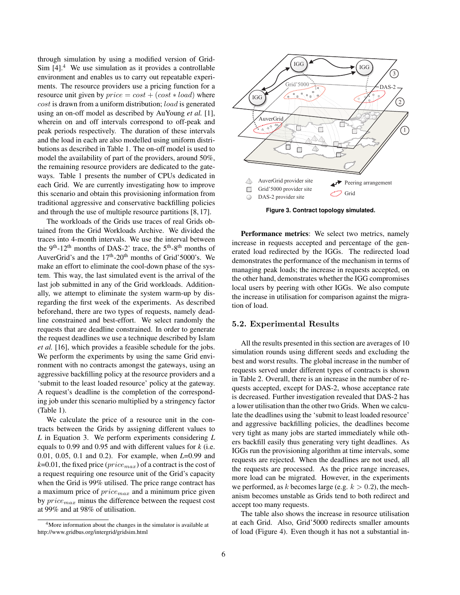through simulation by using a modified version of Grid-Sim  $[4]$ <sup>4</sup>. We use simulation as it provides a controllable environment and enables us to carry out repeatable experiments. The resource providers use a pricing function for a resource unit given by  $price = cost + (cost * load)$  where cost is drawn from a uniform distribution; load is generated using an on-off model as described by AuYoung *et al.* [1], wherein on and off intervals correspond to off-peak and peak periods respectively. The duration of these intervals and the load in each are also modelled using uniform distributions as described in Table 1. The on-off model is used to model the availability of part of the providers, around 50%, the remaining resource providers are dedicated to the gateways. Table 1 presents the number of CPUs dedicated in each Grid. We are currently investigating how to improve this scenario and obtain this provisioning information from traditional aggressive and conservative backfilling policies and through the use of multiple resource partitions [8, 17].

The workloads of the Grids use traces of real Grids obtained from the Grid Workloads Archive. We divided the traces into 4-month intervals. We use the interval between the  $9<sup>th</sup>$ -12<sup>th</sup> months of DAS-2' trace, the  $5<sup>th</sup>$ -8<sup>th</sup> months of AuverGrid's and the  $17<sup>th</sup>$ -20<sup>th</sup> months of Grid'5000's. We make an effort to eliminate the cool-down phase of the system. This way, the last simulated event is the arrival of the last job submitted in any of the Grid workloads. Additionally, we attempt to eliminate the system warm-up by disregarding the first week of the experiments. As described beforehand, there are two types of requests, namely deadline constrained and best-effort. We select randomly the requests that are deadline constrained. In order to generate the request deadlines we use a technique described by Islam *et al.* [16], which provides a feasible schedule for the jobs. We perform the experiments by using the same Grid environment with no contracts amongst the gateways, using an aggressive backfilling policy at the resource providers and a 'submit to the least loaded resource' policy at the gateway. A request's deadline is the completion of the corresponding job under this scenario multiplied by a stringency factor (Table 1).

We calculate the price of a resource unit in the contracts between the Grids by assigning different values to *L* in Equation 3. We perform experiments considering *L* equals to 0.99 and 0.95 and with different values for *k* (i.e. 0.01, 0.05, 0.1 and 0.2). For example, when *L*=0.99 and  $k=0.01$ , the fixed price (*price<sub>max</sub>*) of a contract is the cost of a request requiring one resource unit of the Grid's capacity when the Grid is 99% utilised. The price range contract has a maximum price of  $price_{max}$  and a minimum price given by  $price_{max}$  minus the difference between the request cost at 99% and at 98% of utilisation.





**Figure 3. Contract topology simulated.**

Performance metrics: We select two metrics, namely increase in requests accepted and percentage of the generated load redirected by the IGGs. The redirected load demonstrates the performance of the mechanism in terms of managing peak loads; the increase in requests accepted, on the other hand, demonstrates whether the IGG compromises local users by peering with other IGGs. We also compute the increase in utilisation for comparison against the migration of load.

### 5.2. Experimental Results

All the results presented in this section are averages of 10 simulation rounds using different seeds and excluding the best and worst results. The global increase in the number of requests served under different types of contracts is shown in Table 2. Overall, there is an increase in the number of requests accepted, except for DAS-2, whose acceptance rate is decreased. Further investigation revealed that DAS-2 has a lower utilisation than the other two Grids. When we calculate the deadlines using the 'submit to least loaded resource' and aggressive backfilling policies, the deadlines become very tight as many jobs are started immediately while others backfill easily thus generating very tight deadlines. As IGGs run the provisioning algorithm at time intervals, some requests are rejected. When the deadlines are not used, all the requests are processed. As the price range increases, more load can be migrated. However, in the experiments we performed, as k becomes large (e.g.  $k > 0.2$ ), the mechanism becomes unstable as Grids tend to both redirect and accept too many requests.

The table also shows the increase in resource utilisation at each Grid. Also, Grid'5000 redirects smaller amounts of load (Figure 4). Even though it has not a substantial in-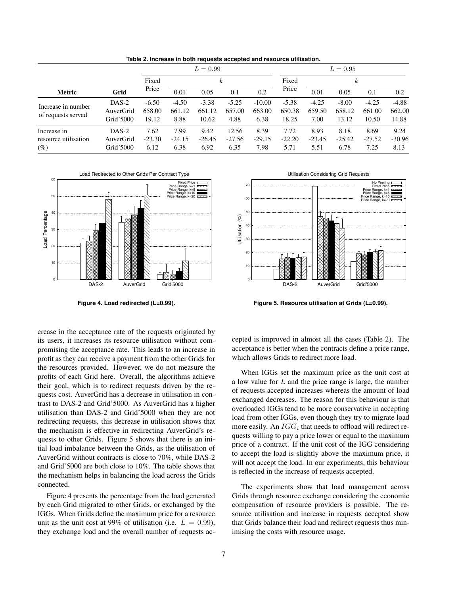|  |  | Table 2. Increase in both requests accepted and resource utilisation. |  |
|--|--|-----------------------------------------------------------------------|--|
|--|--|-----------------------------------------------------------------------|--|

|                                               | $L = 0.99$                                     |                            |                           |                            |                           |                            | $L = 0.95$                 |                           |                            |                            |                            |  |
|-----------------------------------------------|------------------------------------------------|----------------------------|---------------------------|----------------------------|---------------------------|----------------------------|----------------------------|---------------------------|----------------------------|----------------------------|----------------------------|--|
|                                               |                                                | Fixed<br>Price             |                           | k                          |                           |                            | Fixed                      | ĸ                         |                            |                            |                            |  |
| <b>Metric</b>                                 | Grid                                           |                            | 0.01                      | 0.05                       | 0.1                       | 0.2                        | Price                      | 0.01                      | 0.05                       | 0.1                        | 0.2                        |  |
| Increase in number<br>of requests served      | $DAS-2$<br>AuverGrid<br>Grid <sup>2</sup> 5000 | $-6.50$<br>658.00<br>19.12 | $-4.50$<br>661.12<br>8.88 | $-3.38$<br>661.12<br>10.62 | $-5.25$<br>657.00<br>4.88 | $-10.00$<br>663.00<br>6.38 | $-5.38$<br>650.38<br>18.25 | $-4.25$<br>659.50<br>7.00 | $-8.00$<br>658.12<br>13.12 | $-4.25$<br>661.00<br>10.50 | $-4.88$<br>662.00<br>14.88 |  |
| Increase in<br>resource utilisation<br>$(\%)$ | $DAS-2$<br>AuverGrid<br>Grid <sup>2</sup> 5000 | 7.62<br>$-23.30$<br>6.12   | 7.99<br>$-24.15$<br>6.38  | 9.42<br>$-26.45$<br>6.92   | 12.56<br>$-27.56$<br>6.35 | 8.39<br>$-29.15$<br>7.98   | 7.72<br>$-22.20$<br>5.71   | 8.93<br>$-23.45$<br>5.51  | 8.18<br>$-25.42$<br>6.78   | 8.69<br>$-27.52$<br>7.25   | 9.24<br>$-30.96$<br>8.13   |  |



**Figure 4. Load redirected (L=0.99).**

Utilisation Considering Grid Requests



**Figure 5. Resource utilisation at Grids (L=0.99).**

cepted is improved in almost all the cases (Table 2). The acceptance is better when the contracts define a price range,

When IGGs set the maximum price as the unit cost at a low value for L and the price range is large, the number

which allows Grids to redirect more load.

crease in the acceptance rate of the requests originated by its users, it increases its resource utilisation without compromising the acceptance rate. This leads to an increase in profit as they can receive a payment from the other Grids for the resources provided. However, we do not measure the profits of each Grid here. Overall, the algorithms achieve their goal, which is to redirect requests driven by the requests cost. AuverGrid has a decrease in utilisation in contrast to DAS-2 and Grid'5000. As AuverGrid has a higher utilisation than DAS-2 and Grid'5000 when they are not redirecting requests, this decrease in utilisation shows that the mechanism is effective in redirecting AuverGrid's requests to other Grids. Figure 5 shows that there is an initial load imbalance between the Grids, as the utilisation of AuverGrid without contracts is close to 70%, while DAS-2 and Grid'5000 are both close to 10%. The table shows that the mechanism helps in balancing the load across the Grids connected.

Figure 4 presents the percentage from the load generated by each Grid migrated to other Grids, or exchanged by the IGGs. When Grids define the maximum price for a resource unit as the unit cost at 99% of utilisation (i.e.  $L = 0.99$ ), they exchange load and the overall number of requests acof requests accepted increases whereas the amount of load exchanged decreases. The reason for this behaviour is that overloaded IGGs tend to be more conservative in accepting load from other IGGs, even though they try to migrate load more easily. An  $IGG_i$  that needs to offload will redirect requests willing to pay a price lower or equal to the maximum

price of a contract. If the unit cost of the IGG considering to accept the load is slightly above the maximum price, it will not accept the load. In our experiments, this behaviour is reflected in the increase of requests accepted.

The experiments show that load management across Grids through resource exchange considering the economic compensation of resource providers is possible. The resource utilisation and increase in requests accepted show that Grids balance their load and redirect requests thus minimising the costs with resource usage.